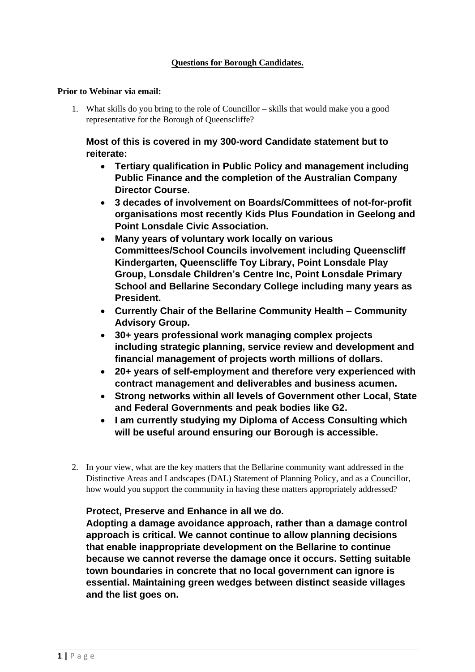#### **Prior to Webinar via email:**

1. What skills do you bring to the role of Councillor – skills that would make you a good representative for the Borough of Queenscliffe?

### **Most of this is covered in my 300-word Candidate statement but to reiterate:**

- **Tertiary qualification in Public Policy and management including Public Finance and the completion of the Australian Company Director Course.**
- **3 decades of involvement on Boards/Committees of not-for-profit organisations most recently Kids Plus Foundation in Geelong and Point Lonsdale Civic Association.**
- **Many years of voluntary work locally on various Committees/School Councils involvement including Queenscliff Kindergarten, Queenscliffe Toy Library, Point Lonsdale Play Group, Lonsdale Children's Centre Inc, Point Lonsdale Primary School and Bellarine Secondary College including many years as President.**
- **Currently Chair of the Bellarine Community Health – Community Advisory Group.**
- **30+ years professional work managing complex projects including strategic planning, service review and development and financial management of projects worth millions of dollars.**
- **20+ years of self-employment and therefore very experienced with contract management and deliverables and business acumen.**
- **Strong networks within all levels of Government other Local, State and Federal Governments and peak bodies like G2.**
- **I am currently studying my Diploma of Access Consulting which will be useful around ensuring our Borough is accessible.**
- 2. In your view, what are the key matters that the Bellarine community want addressed in the Distinctive Areas and Landscapes (DAL) Statement of Planning Policy, and as a Councillor, how would you support the community in having these matters appropriately addressed?

### **Protect, Preserve and Enhance in all we do.**

**Adopting a damage avoidance approach, rather than a damage control approach is critical. We cannot continue to allow planning decisions that enable inappropriate development on the Bellarine to continue because we cannot reverse the damage once it occurs. Setting suitable town boundaries in concrete that no local government can ignore is essential. Maintaining green wedges between distinct seaside villages and the list goes on.**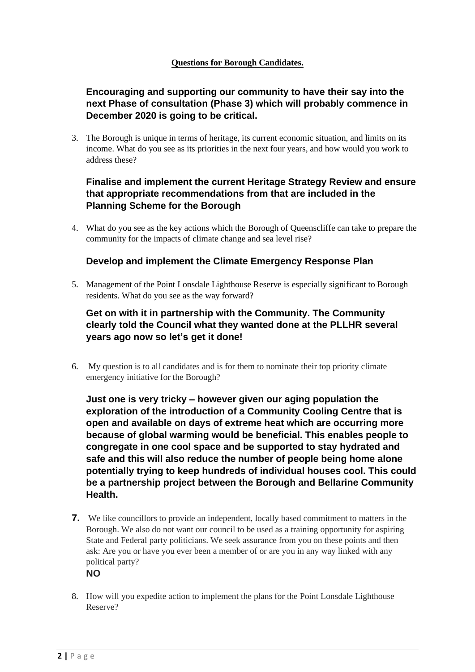## **Encouraging and supporting our community to have their say into the next Phase of consultation (Phase 3) which will probably commence in December 2020 is going to be critical.**

3. The Borough is unique in terms of heritage, its current economic situation, and limits on its income. What do you see as its priorities in the next four years, and how would you work to address these?

### **Finalise and implement the current Heritage Strategy Review and ensure that appropriate recommendations from that are included in the Planning Scheme for the Borough**

4. What do you see as the key actions which the Borough of Queenscliffe can take to prepare the community for the impacts of climate change and sea level rise?

### **Develop and implement the Climate Emergency Response Plan**

5. Management of the Point Lonsdale Lighthouse Reserve is especially significant to Borough residents. What do you see as the way forward?

## **Get on with it in partnership with the Community. The Community clearly told the Council what they wanted done at the PLLHR several years ago now so let's get it done!**

6. My question is to all candidates and is for them to nominate their top priority climate emergency initiative for the Borough?

**Just one is very tricky – however given our aging population the exploration of the introduction of a Community Cooling Centre that is open and available on days of extreme heat which are occurring more because of global warming would be beneficial. This enables people to congregate in one cool space and be supported to stay hydrated and safe and this will also reduce the number of people being home alone potentially trying to keep hundreds of individual houses cool. This could be a partnership project between the Borough and Bellarine Community Health.**

- **7.** We like councillors to provide an independent, locally based commitment to matters in the Borough. We also do not want our council to be used as a training opportunity for aspiring State and Federal party politicians. We seek assurance from you on these points and then ask: Are you or have you ever been a member of or are you in any way linked with any political party? **NO**
- 8. How will you expedite action to implement the plans for the Point Lonsdale Lighthouse Reserve?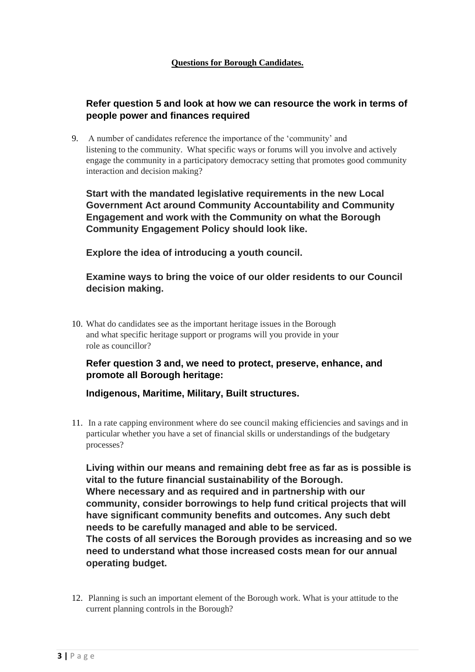### **Refer question 5 and look at how we can resource the work in terms of people power and finances required**

9. A number of candidates reference the importance of the 'community' and listening to the community. What specific ways or forums will you involve and actively engage the community in a participatory democracy setting that promotes good community interaction and decision making?

**Start with the mandated legislative requirements in the new Local Government Act around Community Accountability and Community Engagement and work with the Community on what the Borough Community Engagement Policy should look like.**

**Explore the idea of introducing a youth council.**

### **Examine ways to bring the voice of our older residents to our Council decision making.**

10. What do candidates see as the important heritage issues in the Borough and what specific heritage support or programs will you provide in your role as councillor?

## **Refer question 3 and, we need to protect, preserve, enhance, and promote all Borough heritage:**

**Indigenous, Maritime, Military, Built structures.**

11. In a rate capping environment where do see council making efficiencies and savings and in particular whether you have a set of financial skills or understandings of the budgetary processes?

**Living within our means and remaining debt free as far as is possible is vital to the future financial sustainability of the Borough. Where necessary and as required and in partnership with our community, consider borrowings to help fund critical projects that will have significant community benefits and outcomes. Any such debt needs to be carefully managed and able to be serviced. The costs of all services the Borough provides as increasing and so we need to understand what those increased costs mean for our annual operating budget.**

12. Planning is such an important element of the Borough work. What is your attitude to the current planning controls in the Borough?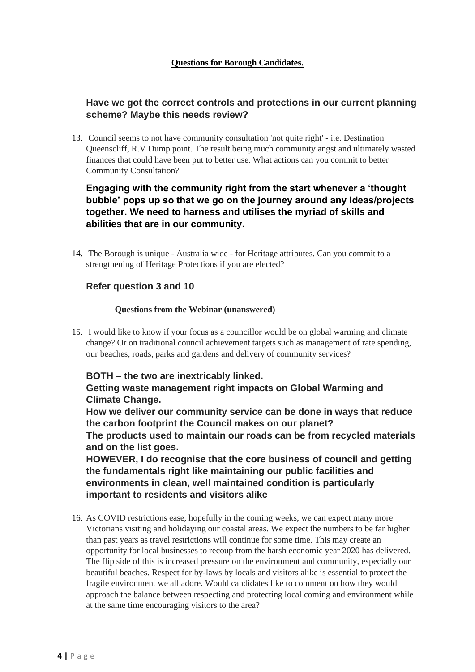### **Have we got the correct controls and protections in our current planning scheme? Maybe this needs review?**

13. Council seems to not have community consultation 'not quite right' - i.e. Destination Queenscliff, R.V Dump point. The result being much community angst and ultimately wasted finances that could have been put to better use. What actions can you commit to better Community Consultation?

## **Engaging with the community right from the start whenever a 'thought bubble' pops up so that we go on the journey around any ideas/projects together. We need to harness and utilises the myriad of skills and abilities that are in our community.**

14. The Borough is unique - Australia wide - for Heritage attributes. Can you commit to a strengthening of Heritage Protections if you are elected?

### **Refer question 3 and 10**

#### **Questions from the Webinar (unanswered)**

15. I would like to know if your focus as a councillor would be on global warming and climate change? Or on traditional council achievement targets such as management of rate spending, our beaches, roads, parks and gardens and delivery of community services?

### **BOTH – the two are inextricably linked.**

**Getting waste management right impacts on Global Warming and Climate Change.**

**How we deliver our community service can be done in ways that reduce the carbon footprint the Council makes on our planet?** 

**The products used to maintain our roads can be from recycled materials and on the list goes.**

**HOWEVER, I do recognise that the core business of council and getting the fundamentals right like maintaining our public facilities and environments in clean, well maintained condition is particularly important to residents and visitors alike** 

16. As COVID restrictions ease, hopefully in the coming weeks, we can expect many more Victorians visiting and holidaying our coastal areas. We expect the numbers to be far higher than past years as travel restrictions will continue for some time. This may create an opportunity for local businesses to recoup from the harsh economic year 2020 has delivered. The flip side of this is increased pressure on the environment and community, especially our beautiful beaches. Respect for by-laws by locals and visitors alike is essential to protect the fragile environment we all adore. Would candidates like to comment on how they would approach the balance between respecting and protecting local coming and environment while at the same time encouraging visitors to the area?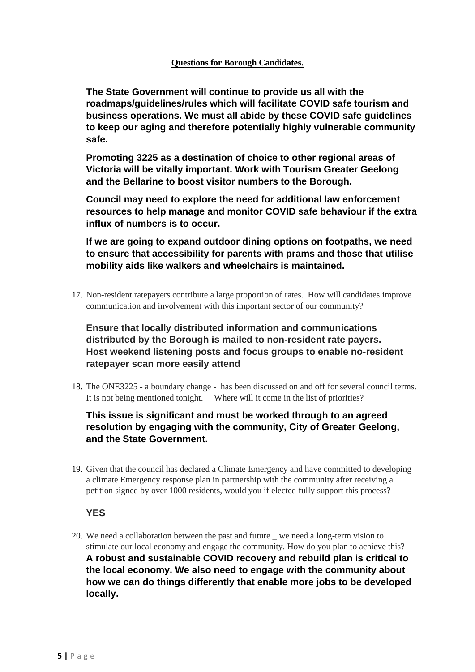**The State Government will continue to provide us all with the roadmaps/guidelines/rules which will facilitate COVID safe tourism and business operations. We must all abide by these COVID safe guidelines to keep our aging and therefore potentially highly vulnerable community safe.**

**Promoting 3225 as a destination of choice to other regional areas of Victoria will be vitally important. Work with Tourism Greater Geelong and the Bellarine to boost visitor numbers to the Borough.**

**Council may need to explore the need for additional law enforcement resources to help manage and monitor COVID safe behaviour if the extra influx of numbers is to occur.**

**If we are going to expand outdoor dining options on footpaths, we need to ensure that accessibility for parents with prams and those that utilise mobility aids like walkers and wheelchairs is maintained.**

17. Non-resident ratepayers contribute a large proportion of rates. How will candidates improve communication and involvement with this important sector of our community?

**Ensure that locally distributed information and communications distributed by the Borough is mailed to non-resident rate payers. Host weekend listening posts and focus groups to enable no-resident ratepayer scan more easily attend**

18. The ONE3225 - a boundary change - has been discussed on and off for several council terms. It is not being mentioned tonight. Where will it come in the list of priorities?

# **This issue is significant and must be worked through to an agreed resolution by engaging with the community, City of Greater Geelong, and the State Government.**

19. Given that the council has declared a Climate Emergency and have committed to developing a climate Emergency response plan in partnership with the community after receiving a petition signed by over 1000 residents, would you if elected fully support this process?

## **YES**

20. We need a collaboration between the past and future \_ we need a long-term vision to stimulate our local economy and engage the community. How do you plan to achieve this? **A robust and sustainable COVID recovery and rebuild plan is critical to the local economy. We also need to engage with the community about how we can do things differently that enable more jobs to be developed locally.**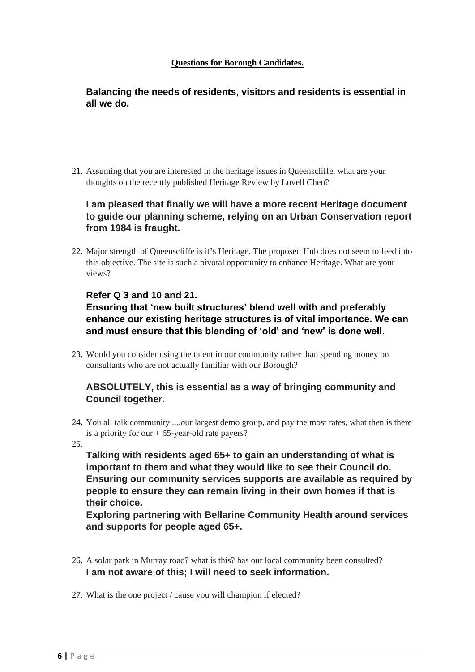**Balancing the needs of residents, visitors and residents is essential in all we do.**

21. Assuming that you are interested in the heritage issues in Queenscliffe, what are your thoughts on the recently published Heritage Review by Lovell Chen?

## **I am pleased that finally we will have a more recent Heritage document to guide our planning scheme, relying on an Urban Conservation report from 1984 is fraught.**

22. Major strength of Queenscliffe is it's Heritage. The proposed Hub does not seem to feed into this objective. The site is such a pivotal opportunity to enhance Heritage. What are your views?

### **Refer Q 3 and 10 and 21.**

# **Ensuring that 'new built structures' blend well with and preferably enhance our existing heritage structures is of vital importance. We can and must ensure that this blending of 'old' and 'new' is done well.**

23. Would you consider using the talent in our community rather than spending money on consultants who are not actually familiar with our Borough?

### **ABSOLUTELY, this is essential as a way of bringing community and Council together.**

24. You all talk community ....our largest demo group, and pay the most rates, what then is there is a priority for our  $+ 65$ -year-old rate payers?

25.

**Talking with residents aged 65+ to gain an understanding of what is important to them and what they would like to see their Council do. Ensuring our community services supports are available as required by people to ensure they can remain living in their own homes if that is their choice.**

**Exploring partnering with Bellarine Community Health around services and supports for people aged 65+.**

- 26. A solar park in Murray road? what is this? has our local community been consulted? **I am not aware of this; I will need to seek information.**
- 27. What is the one project / cause you will champion if elected?